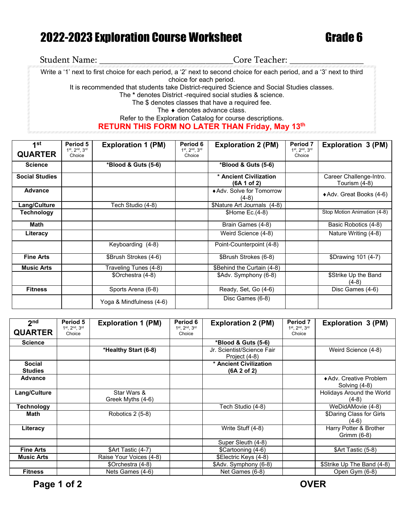## 2022-2023 Exploration Course Worksheet Grade 6

| <b>Student Name:</b>                                                                       | Core Teacher:                                                                                                                                     |  |  |  |  |
|--------------------------------------------------------------------------------------------|---------------------------------------------------------------------------------------------------------------------------------------------------|--|--|--|--|
|                                                                                            | Write a '1' next to first choice for each period, a '2' next to second choice for each period, and a '3' next to third<br>choice for each period. |  |  |  |  |
| It is recommended that students take District-required Science and Social Studies classes. |                                                                                                                                                   |  |  |  |  |
|                                                                                            | The * denotes District -required social studies & science.                                                                                        |  |  |  |  |
|                                                                                            | The \$ denotes classes that have a required fee.                                                                                                  |  |  |  |  |
|                                                                                            | The $\bullet$ denotes advance class.                                                                                                              |  |  |  |  |
|                                                                                            | Refer to the Exploration Catalog for course descriptions.                                                                                         |  |  |  |  |
|                                                                                            | <b>RETURN THIS FORM NO LATER THAN Friday, May 13th</b>                                                                                            |  |  |  |  |

| 1 <sub>st</sub>       | Period 5                                 | <b>Exploration 1 (PM)</b> | Period 6                                 | <b>Exploration 2 (PM)</b>             | Period 7                | <b>Exploration 3 (PM)</b>                |
|-----------------------|------------------------------------------|---------------------------|------------------------------------------|---------------------------------------|-------------------------|------------------------------------------|
| <b>QUARTER</b>        | $1^{st}$ , $2^{nd}$ , $3^{rd}$<br>Choice |                           | $1^{st}$ , $2^{nd}$ , $3^{rd}$<br>Choice |                                       | 1st, 2nd, 3rd<br>Choice |                                          |
| <b>Science</b>        |                                          | *Blood & Guts (5-6)       |                                          | *Blood & Guts (5-6)                   |                         |                                          |
| <b>Social Studies</b> |                                          |                           |                                          | * Ancient Civilization<br>(6A 1 of 2) |                         | Career Challenge-Intro.<br>Tourism (4-8) |
| Advance               |                                          |                           |                                          | ◆ Adv. Solve for Tomorrow<br>$(4-8)$  |                         | ◆ Adv. Great Books (4-6)                 |
| Lang/Culture          |                                          | Tech Studio (4-8)         |                                          | \$Nature Art Journals (4-8)           |                         |                                          |
| Technology            |                                          |                           |                                          | $$Home Ec.(4-8)$                      |                         | Stop Motion Animation (4-8)              |
| Math                  |                                          |                           |                                          | Brain Games (4-8)                     |                         | Basic Robotics (4-8)                     |
| Literacy              |                                          |                           |                                          | Weird Science (4-8)                   |                         | Nature Writing (4-8)                     |
|                       |                                          | Keyboarding (4-8)         |                                          | Point-Counterpoint (4-8)              |                         |                                          |
| <b>Fine Arts</b>      |                                          | \$Brush Strokes (4-6)     |                                          | \$Brush Strokes (6-8)                 |                         | \$Drawing 101 (4-7)                      |
| <b>Music Arts</b>     |                                          | Traveling Tunes (4-8)     |                                          | \$Behind the Curtain (4-8)            |                         |                                          |
|                       |                                          | \$Orchestra (4-8)         |                                          | \$Adv. Symphony (6-8)                 |                         | \$Strike Up the Band<br>(4-8)            |
| <b>Fitness</b>        |                                          | Sports Arena (6-8)        |                                          | Ready, Set, Go (4-6)                  |                         | Disc Games (4-6)                         |
|                       |                                          | Yoga & Mindfulness (4-6)  |                                          | Disc Games (6-8)                      |                         |                                          |

| 2 <sub>nd</sub>                 | Period 5                                 | <b>Exploration 1 (PM)</b>        | Period 6                | <b>Exploration 2 (PM)</b>                   | Period 7                                 | Exploration 3 (PM)                       |
|---------------------------------|------------------------------------------|----------------------------------|-------------------------|---------------------------------------------|------------------------------------------|------------------------------------------|
| <b>QUARTER</b>                  | $1^{st}$ , $2^{nd}$ , $3^{rd}$<br>Choice |                                  | 1st, 2nd, 3rd<br>Choice |                                             | $1^{st}$ , $2^{nd}$ , $3^{rd}$<br>Choice |                                          |
| <b>Science</b>                  |                                          |                                  |                         | *Blood & Guts (5-6)                         |                                          |                                          |
|                                 |                                          | *Healthy Start (6-8)             |                         | Jr. Scientist/Science Fair<br>Project (4-8) |                                          | Weird Science (4-8)                      |
| <b>Social</b><br><b>Studies</b> |                                          |                                  |                         | * Ancient Civilization<br>(6A 2 of 2)       |                                          |                                          |
| <b>Advance</b>                  |                                          |                                  |                         |                                             |                                          | ◆ Adv. Creative Problem<br>Solving (4-8) |
| Lang/Culture                    |                                          | Star Wars &<br>Greek Myths (4-6) |                         |                                             |                                          | Holidays Around the World<br>$(4-8)$     |
| <b>Technology</b>               |                                          |                                  |                         | Tech Studio (4-8)                           |                                          | WeDidAMovie (4-8)                        |
| Math                            |                                          | Robotics 2 (5-8)                 |                         |                                             |                                          | \$Daring Class for Girls<br>$(4-6)$      |
| Literacy                        |                                          |                                  |                         | Write Stuff (4-8)                           |                                          | Harry Potter & Brother<br>Grimm (6-8)    |
|                                 |                                          |                                  |                         | Super Sleuth (4-8)                          |                                          |                                          |
| <b>Fine Arts</b>                |                                          | \$Art Tastic (4-7)               |                         | \$Cartooning (4-6)                          |                                          | \$Art Tastic (5-8)                       |
| <b>Music Arts</b>               |                                          | Raise Your Voices (4-8)          |                         | \$Electric Keys (4-8)                       |                                          |                                          |
|                                 |                                          | \$Orchestra (4-8)                |                         | \$Adv. Symphony (6-8)                       |                                          | \$Strike Up The Band (4-8)               |
| <b>Fitness</b>                  |                                          | Nets Games (4-6)                 |                         | Net Games (6-8)                             |                                          | Open Gym (6-8)                           |

Page 1 of 2 **OVER**